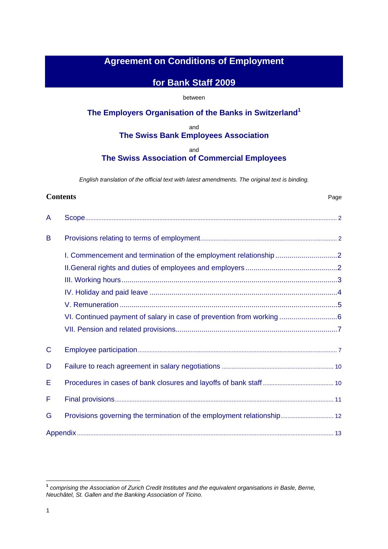# **Agreement on Conditions of Employment**

# **for Bank Staff 2009**

# between

# **The Employers Organisation of the Banks in Switzerland1**

and **The Swiss Bank Employees Association** 

and

# **The Swiss Association of Commercial Employees**

*English translation of the official text with latest amendments. The original text is binding.* 

# **Contents** Page A Scope......................................................................................................................................................... 2 B Provisions relating to terms of employment................................................................................... 2 I. Commencement and termination of the employment relationship ...............................2 II.General rights and duties of employees and employers..............................................2 III. Working hours............................................................................................................3 IV. Holiday and paid leave ..............................................................................................4 V. Remuneration .............................................................................................................5 VI. Continued payment of salary in case of prevention from working .............................6 VII. Pension and related provisions.................................................................................7 C Employee participation......................................................................................................................... 7 D Failure to reach agreement in salary negotiations .................................................................... 10 E Procedures in cases of bank closures and layoffs of bank staff ........................................... 10 F Final provisions..................................................................................................................................... 11 G Provisions governing the termination of the employment relationship................................ 12 Appendix ............................................................................................................................................................ 13

 $\overline{a}$ 

**<sup>1</sup>**  *comprising the Association of Zurich Credit Institutes and the equivalent organisations in Basle, Berne, Neuchâtel, St. Gallen and the Banking Association of Ticino.*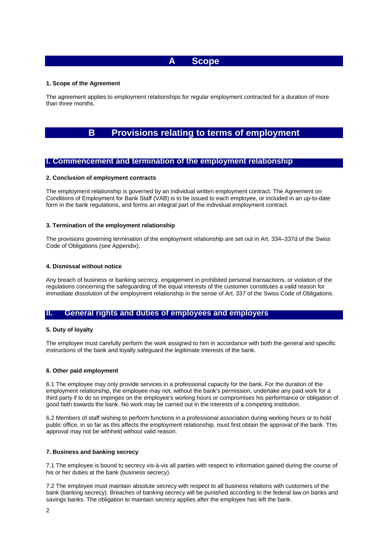# **A Scope**

# **1. Scope of the Agreement**

The agreement applies to employment relationships for regular employment contracted for a duration of more than three months.

# **B Provisions relating to terms of employment**

# **I. Commencement and termination of the employment relationship**

# **2. Conclusion of employment contracts**

The employment relationship is governed by an individual written employment contract. The Agreement on Conditions of Employment for Bank Staff (VAB) is to be issued to each employee, or included in an up-to-date form in the bank regulations, and forms an integral part of the individual employment contract.

# **3. Termination of the employment relationship**

The provisions governing termination of the employment relationship are set out in Art. 334–337d of the Swiss Code of Obligations (see Appendix).

## **4. Dismissal without notice**

Any breach of business or banking secrecy, engagement in prohibited personal transactions, or violation of the regulations concerning the safeguarding of the equal interests of the customer constitutes a valid reason for immediate dissolution of the employment relationship in the sense of Art. 337 of the Swiss Code of Obligations.

# **II. General rights and duties of employees and employers**

# **5. Duty of loyalty**

The employee must carefully perform the work assigned to him in accordance with both the general and specific instructions of the bank and loyally safeguard the legitimate interests of the bank.

# **6. Other paid employment**

6.1 The employee may only provide services in a professional capacity for the bank. For the duration of the employment relationship, the employee may not, without the bank's permission, undertake any paid work for a third party if to do so impinges on the employee's working hours or compromises his performance or obligation of good faith towards the bank. No work may be carried out in the interests of a competing institution.

6.2 Members of staff wishing to perform functions in a professional association during working hours or to hold public office, in so far as this affects the employment relationship, must first obtain the approval of the bank. This approval may not be withheld without valid reason.

# **7. Business and banking secrecy**

7.1 The employee is bound to secrecy vis-à-vis all parties with respect to information gained during the course of his or her duties at the bank (business secrecy).

7.2 The employee must maintain absolute secrecy with respect to all business relations with customers of the bank (banking secrecy). Breaches of banking secrecy will be punished according to the federal law on banks and savings banks. The obligation to maintain secrecy applies after the employee has left the bank.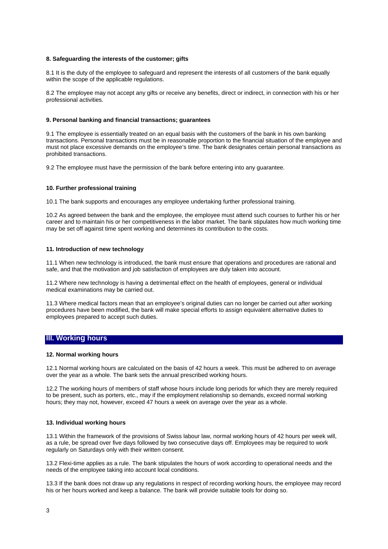# **8. Safeguarding the interests of the customer; gifts**

8.1 It is the duty of the employee to safeguard and represent the interests of all customers of the bank equally within the scope of the applicable regulations.

8.2 The employee may not accept any gifts or receive any benefits, direct or indirect, in connection with his or her professional activities.

# **9. Personal banking and financial transactions; guarantees**

9.1 The employee is essentially treated on an equal basis with the customers of the bank in his own banking transactions. Personal transactions must be in reasonable proportion to the financial situation of the employee and must not place excessive demands on the employee's time. The bank designates certain personal transactions as prohibited transactions.

9.2 The employee must have the permission of the bank before entering into any guarantee.

## **10. Further professional training**

10.1 The bank supports and encourages any employee undertaking further professional training.

10.2 As agreed between the bank and the employee, the employee must attend such courses to further his or her career and to maintain his or her competitiveness in the labor market. The bank stipulates how much working time may be set off against time spent working and determines its contribution to the costs.

# **11. Introduction of new technology**

11.1 When new technology is introduced, the bank must ensure that operations and procedures are rational and safe, and that the motivation and job satisfaction of employees are duly taken into account.

11.2 Where new technology is having a detrimental effect on the health of employees, general or individual medical examinations may be carried out.

11.3 Where medical factors mean that an employee's original duties can no longer be carried out after working procedures have been modified, the bank will make special efforts to assign equivalent alternative duties to employees prepared to accept such duties.

# **III. Working hours**

# **12. Normal working hours**

12.1 Normal working hours are calculated on the basis of 42 hours a week. This must be adhered to on average over the year as a whole. The bank sets the annual prescribed working hours.

12.2 The working hours of members of staff whose hours include long periods for which they are merely required to be present, such as porters, etc., may if the employment relationship so demands, exceed normal working hours; they may not, however, exceed 47 hours a week on average over the year as a whole.

# **13. Individual working hours**

13.1 Within the framework of the provisions of Swiss labour law, normal working hours of 42 hours per week will, as a rule, be spread over five days followed by two consecutive days off. Employees may be required to work regularly on Saturdays only with their written consent.

13.2 Flexi-time applies as a rule. The bank stipulates the hours of work according to operational needs and the needs of the employee taking into account local conditions.

13.3 If the bank does not draw up any regulations in respect of recording working hours, the employee may record his or her hours worked and keep a balance. The bank will provide suitable tools for doing so.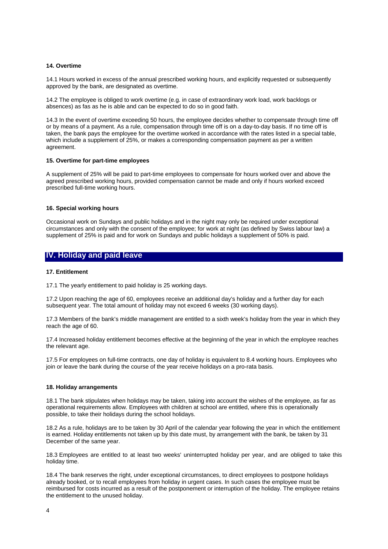# **14. Overtime**

14.1 Hours worked in excess of the annual prescribed working hours, and explicitly requested or subsequently approved by the bank, are designated as overtime.

14.2 The employee is obliged to work overtime (e.g. in case of extraordinary work load, work backlogs or absences) as fas as he is able and can be expected to do so in good faith.

14.3 In the event of overtime exceeding 50 hours, the employee decides whether to compensate through time off or by means of a payment. As a rule, compensation through time off is on a day-to-day basis. If no time off is taken, the bank pays the employee for the overtime worked in accordance with the rates listed in a special table, which include a supplement of 25%, or makes a corresponding compensation payment as per a written agreement.

#### **15. Overtime for part-time employees**

A supplement of 25% will be paid to part-time employees to compensate for hours worked over and above the agreed prescribed working hours, provided compensation cannot be made and only if hours worked exceed prescribed full-time working hours.

#### **16. Special working hours**

Occasional work on Sundays and public holidays and in the night may only be required under exceptional circumstances and only with the consent of the employee; for work at night (as defined by Swiss labour law) a supplement of 25% is paid and for work on Sundays and public holidays a supplement of 50% is paid.

# **IV. Holiday and paid leave**

# **17. Entitlement**

17.1 The yearly entitlement to paid holiday is 25 working days.

17.2 Upon reaching the age of 60, employees receive an additional day's holiday and a further day for each subsequent year. The total amount of holiday may not exceed 6 weeks (30 working days).

17.3 Members of the bank's middle management are entitled to a sixth week's holiday from the year in which they reach the age of 60.

17.4 Increased holiday entitlement becomes effective at the beginning of the year in which the employee reaches the relevant age.

17.5 For employees on full-time contracts, one day of holiday is equivalent to 8.4 working hours. Employees who join or leave the bank during the course of the year receive holidays on a pro-rata basis.

#### **18. Holiday arrangements**

18.1 The bank stipulates when holidays may be taken, taking into account the wishes of the employee, as far as operational requirements allow. Employees with children at school are entitled, where this is operationally possible, to take their holidays during the school holidays.

18.2 As a rule, holidays are to be taken by 30 April of the calendar year following the year in which the entitlement is earned. Holiday entitlements not taken up by this date must, by arrangement with the bank, be taken by 31 December of the same year.

18.3 Employees are entitled to at least two weeks' uninterrupted holiday per year, and are obliged to take this holiday time.

18.4 The bank reserves the right, under exceptional circumstances, to direct employees to postpone holidays already booked, or to recall employees from holiday in urgent cases. In such cases the employee must be reimbursed for costs incurred as a result of the postponement or interruption of the holiday. The employee retains the entitlement to the unused holiday.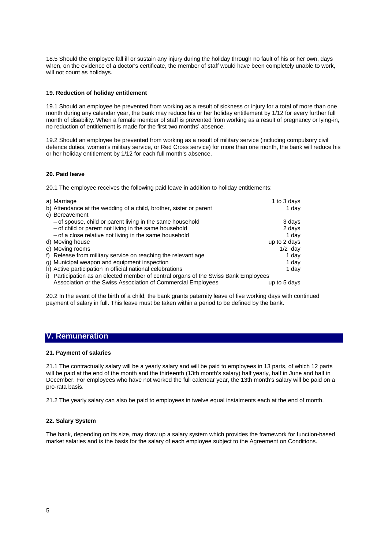18.5 Should the employee fall ill or sustain any injury during the holiday through no fault of his or her own, days when, on the evidence of a doctor's certificate, the member of staff would have been completely unable to work, will not count as holidays.

# **19. Reduction of holiday entitlement**

19.1 Should an employee be prevented from working as a result of sickness or injury for a total of more than one month during any calendar year, the bank may reduce his or her holiday entitlement by 1/12 for every further full month of disability. When a female member of staff is prevented from working as a result of pregnancy or lying-in, no reduction of entitlement is made for the first two months' absence.

19.2 Should an employee be prevented from working as a result of military service (including compulsory civil defence duties, women's military service, or Red Cross service) for more than one month, the bank will reduce his or her holiday entitlement by 1/12 for each full month's absence.

# **20. Paid leave**

20.1 The employee receives the following paid leave in addition to holiday entitlements:

| a) Marriage                                                                          | 1 to 3 days  |
|--------------------------------------------------------------------------------------|--------------|
| b) Attendance at the wedding of a child, brother, sister or parent                   | 1 day        |
| c) Bereavement                                                                       |              |
| - of spouse, child or parent living in the same household                            | 3 days       |
| - of child or parent not living in the same household                                | 2 days       |
| - of a close relative not living in the same household                               | 1 day        |
| d) Moving house                                                                      | up to 2 days |
| e) Moving rooms                                                                      | $1/2$ day    |
| f) Release from military service on reaching the relevant age                        | 1 day        |
| g) Municipal weapon and equipment inspection                                         | 1 day        |
| h) Active participation in official national celebrations                            | 1 day        |
| i) Participation as an elected member of central organs of the Swiss Bank Employees' |              |
| Association or the Swiss Association of Commercial Employees                         | up to 5 days |

20.2 In the event of the birth of a child, the bank grants paternity leave of five working days with continued payment of salary in full. This leave must be taken within a period to be defined by the bank.

# **V. Remuneration**

# **21. Payment of salaries**

21.1 The contractually salary will be a yearly salary and will be paid to employees in 13 parts, of which 12 parts will be paid at the end of the month and the thirteenth (13th month's salary) half yearly, half in June and half in December. For employees who have not worked the full calendar year, the 13th month's salary will be paid on a pro-rata basis.

21.2 The yearly salary can also be paid to employees in twelve equal instalments each at the end of month.

# **22. Salary System**

The bank, depending on its size, may draw up a salary system which provides the framework for function-based market salaries and is the basis for the salary of each employee subject to the Agreement on Conditions.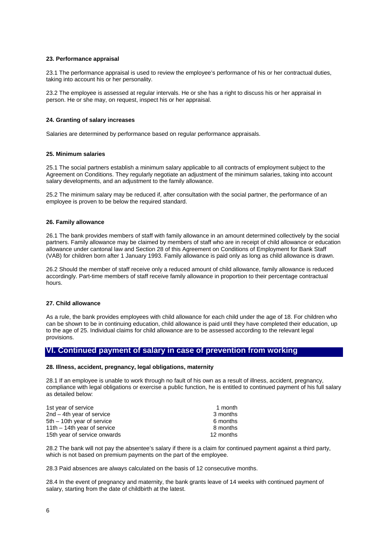# **23. Performance appraisal**

23.1 The performance appraisal is used to review the employee's performance of his or her contractual duties, taking into account his or her personality.

23.2 The employee is assessed at regular intervals. He or she has a right to discuss his or her appraisal in person. He or she may, on request, inspect his or her appraisal.

# **24. Granting of salary increases**

Salaries are determined by performance based on regular performance appraisals.

# **25. Minimum salaries**

25.1 The social partners establish a minimum salary applicable to all contracts of employment subject to the Agreement on Conditions. They regularly negotiate an adjustment of the minimum salaries, taking into account salary developments, and an adjustment to the family allowance.

25.2 The minimum salary may be reduced if, after consultation with the social partner, the performance of an employee is proven to be below the required standard.

# **26. Family allowance**

26.1 The bank provides members of staff with family allowance in an amount determined collectively by the social partners. Family allowance may be claimed by members of staff who are in receipt of child allowance or education allowance under cantonal law and Section 28 of this Agreement on Conditions of Employment for Bank Staff (VAB) for children born after 1 January 1993. Family allowance is paid only as long as child allowance is drawn.

26.2 Should the member of staff receive only a reduced amount of child allowance, family allowance is reduced accordingly. Part-time members of staff receive family allowance in proportion to their percentage contractual hours.

# **27. Child allowance**

As a rule, the bank provides employees with child allowance for each child under the age of 18. For children who can be shown to be in continuing education, child allowance is paid until they have completed their education, up to the age of 25. Individual claims for child allowance are to be assessed according to the relevant legal provisions.

# **VI. Continued payment of salary in case of prevention from working**

## **28. Illness, accident, pregnancy, legal obligations, maternity**

28.1 If an employee is unable to work through no fault of his own as a result of illness, accident, pregnancy, compliance with legal obligations or exercise a public function, he is entitled to continued payment of his full salary as detailed below:

| 1st year of service           | 1 month   |
|-------------------------------|-----------|
| $2nd - 4th$ year of service   | 3 months  |
| $5th - 10th$ year of service  | 6 months  |
| 11th $-$ 14th year of service | 8 months  |
| 15th year of service onwards  | 12 months |

28.2 The bank will not pay the absentee's salary if there is a claim for continued payment against a third party, which is not based on premium payments on the part of the employee.

28.3 Paid absences are always calculated on the basis of 12 consecutive months.

28.4 In the event of pregnancy and maternity, the bank grants leave of 14 weeks with continued payment of salary, starting from the date of childbirth at the latest.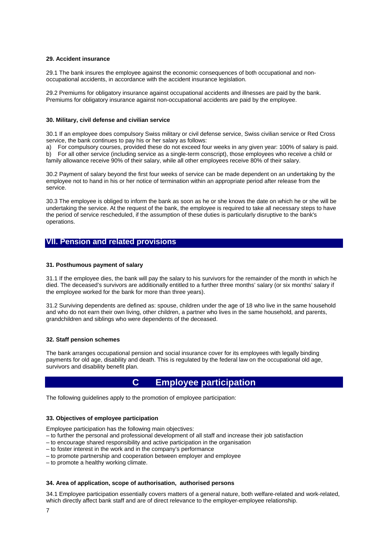# **29. Accident insurance**

29.1 The bank insures the employee against the economic consequences of both occupational and nonoccupational accidents, in accordance with the accident insurance legislation.

29.2 Premiums for obligatory insurance against occupational accidents and illnesses are paid by the bank. Premiums for obligatory insurance against non-occupational accidents are paid by the employee.

# **30. Military, civil defense and civilian service**

30.1 If an employee does compulsory Swiss military or civil defense service, Swiss civilian service or Red Cross service, the bank continues to pay his or her salary as follows:

a) For compulsory courses, provided these do not exceed four weeks in any given year: 100% of salary is paid. b) For all other service (including service as a single-term conscript), those employees who receive a child or

family allowance receive 90% of their salary, while all other employees receive 80% of their salary.

30.2 Payment of salary beyond the first four weeks of service can be made dependent on an undertaking by the employee not to hand in his or her notice of termination within an appropriate period after release from the service.

30.3 The employee is obliged to inform the bank as soon as he or she knows the date on which he or she will be undertaking the service. At the request of the bank, the employee is required to take all necessary steps to have the period of service rescheduled, if the assumption of these duties is particularly disruptive to the bank's operations.

# **VII. Pension and related provisions**

# **31. Posthumous payment of salary**

31.1 If the employee dies, the bank will pay the salary to his survivors for the remainder of the month in which he died. The deceased's survivors are additionally entitled to a further three months' salary (or six months' salary if the employee worked for the bank for more than three years).

31.2 Surviving dependents are defined as: spouse, children under the age of 18 who live in the same household and who do not earn their own living, other children, a partner who lives in the same household, and parents, grandchildren and siblings who were dependents of the deceased.

# **32. Staff pension schemes**

The bank arranges occupational pension and social insurance cover for its employees with legally binding payments for old age, disability and death. This is regulated by the federal law on the occupational old age, survivors and disability benefit plan.

# **C Employee participation**

The following guidelines apply to the promotion of employee participation:

# **33. Objectives of employee participation**

Employee participation has the following main objectives:

- to further the personal and professional development of all staff and increase their job satisfaction
- to encourage shared responsibility and active participation in the organisation
- to foster interest in the work and in the company's performance
- to promote partnership and cooperation between employer and employee
- to promote a healthy working climate.

# **34. Area of application, scope of authorisation, authorised persons**

34.1 Employee participation essentially covers matters of a general nature, both welfare-related and work-related, which directly affect bank staff and are of direct relevance to the employer-employee relationship.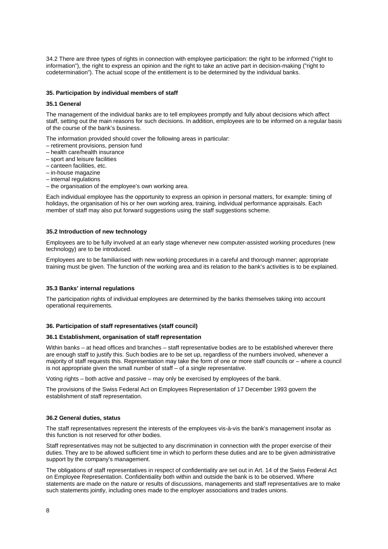34.2 There are three types of rights in connection with employee participation: the right to be informed ("right to information"), the right to express an opinion and the right to take an active part in decision-making ("right to codetermination"). The actual scope of the entitlement is to be determined by the individual banks.

# **35. Participation by individual members of staff**

# **35.1 General**

The management of the individual banks are to tell employees promptly and fully about decisions which affect staff, setting out the main reasons for such decisions. In addition, employees are to be informed on a regular basis of the course of the bank's business.

The information provided should cover the following areas in particular:

- retirement provisions, pension fund
- health care/health insurance
- sport and leisure facilities
- canteen facilities, etc.
- in-house magazine
- internal regulations
- the organisation of the employee's own working area.

Each individual employee has the opportunity to express an opinion in personal matters, for example: timing of holidays, the organisation of his or her own working area, training, individual performance appraisals. Each member of staff may also put forward suggestions using the staff suggestions scheme.

# **35.2 Introduction of new technology**

Employees are to be fully involved at an early stage whenever new computer-assisted working procedures (new technology) are to be introduced.

Employees are to be familiarised with new working procedures in a careful and thorough manner; appropriate training must be given. The function of the working area and its relation to the bank's activities is to be explained.

# **35.3 Banks' internal regulations**

The participation rights of individual employees are determined by the banks themselves taking into account operational requirements.

# **36. Participation of staff representatives (staff council)**

#### **36.1 Establishment, organisation of staff representation**

Within banks – at head offices and branches – staff representative bodies are to be established wherever there are enough staff to justify this. Such bodies are to be set up, regardless of the numbers involved, whenever a majority of staff requests this. Representation may take the form of one or more staff councils or – where a council is not appropriate given the small number of staff – of a single representative.

Voting rights – both active and passive – may only be exercised by employees of the bank.

The provisions of the Swiss Federal Act on Employees Representation of 17 December 1993 govern the establishment of staff representation.

# **36.2 General duties, status**

The staff representatives represent the interests of the employees vis-à-vis the bank's management insofar as this function is not reserved for other bodies.

Staff representatives may not be subjected to any discrimination in connection with the proper exercise of their duties. They are to be allowed sufficient time in which to perform these duties and are to be given administrative support by the company's management.

The obligations of staff representatives in respect of confidentiality are set out in Art. 14 of the Swiss Federal Act on Employee Representation. Confidentiality both within and outside the bank is to be observed. Where statements are made on the nature or results of discussions, managements and staff representatives are to make such statements jointly, including ones made to the employer associations and trades unions.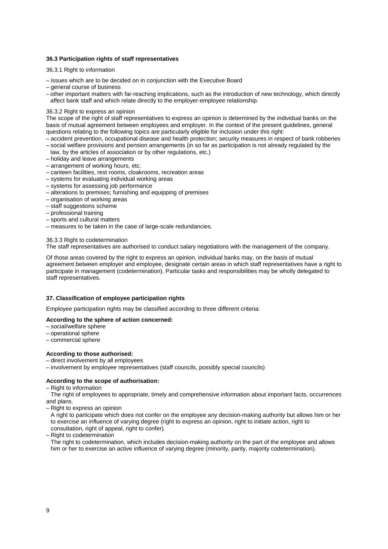# **36.3 Participation rights of staff representatives**

36.3.1 Right to information

- issues which are to be decided on in conjunction with the Executive Board
- general course of business
- other important matters with far-reaching implications, such as the introduction of new technology, which directly affect bank staff and which relate directly to the employer-employee relationship.

# 36.3.2 Right to express an opinion

The scope of the right of staff representatives to express an opinion is determined by the individual banks on the basis of mutual agreement between employees and employer. In the context of the present guidelines, general questions relating to the following topics are particularly eligible for inclusion under this right:

- accident prevention, occupational disease and health protection; security measures in respect of bank robberies
- social welfare provisions and pension arrangements (in so far as participation is not already regulated by the law, by the articles of association or by other regulations, etc.)
- holiday and leave arrangements
- arrangement of working hours, etc.
- canteen facilities, rest rooms, cloakrooms, recreation areas
- systems for evaluating individual working areas
- systems for assessing job performance
- alterations to premises; furnishing and equipping of premises
- organisation of working areas
- staff suggestions scheme
- professional training
- sports and cultural matters
- measures to be taken in the case of large-scale redundancies.

# 36.3.3 Right to codetermination

The staff representatives are authorised to conduct salary negotiations with the management of the company.

Of those areas covered by the right to express an opinion, individual banks may, on the basis of mutual agreement between employer and employee, designate certain areas in which staff representatives have a right to participate in management (codetermination). Particular tasks and responsibilities may be wholly delegated to staff representatives.

# **37. Classification of employee participation rights**

Employee participation rights may be classified according to three different criteria:

# **According to the sphere of action concerned:**

- social/welfare sphere
- operational sphere
- commercial sphere

# **According to those authorised:**

– direct involvement by all employees

– involvement by employee representatives (staff councils, possibly special councils)

# **According to the scope of authorisation:**

– Right to information

 The right of employees to appropriate, timely and comprehensive information about important facts, occurrences and plans.

– Right to express an opinion

 A right to participate which does not confer on the employee any decision-making authority but allows him or her to exercise an influence of varying degree (right to express an opinion, right to initiate action, right to consultation, right of appeal, right to confer).

– Right to codetermination

 The right to codetermination, which includes decision-making authority on the part of the employee and allows him or her to exercise an active influence of varying degree (minority, parity, majority codetermination).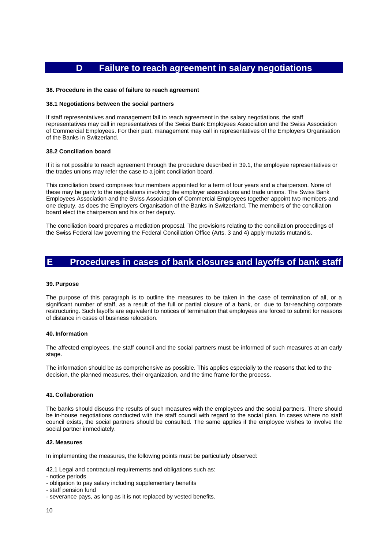# **D Failure to reach agreement in salary negotiations**

## **38. Procedure in the case of failure to reach agreement**

#### **38.1 Negotiations between the social partners**

If staff representatives and management fail to reach agreement in the salary negotiations, the staff representatives may call in representatives of the Swiss Bank Employees Association and the Swiss Association of Commercial Employees. For their part, management may call in representatives of the Employers Organisation of the Banks in Switzerland.

# **38.2 Conciliation board**

If it is not possible to reach agreement through the procedure described in 39.1, the employee representatives or the trades unions may refer the case to a joint conciliation board.

This conciliation board comprises four members appointed for a term of four years and a chairperson. None of these may be party to the negotiations involving the employer associations and trade unions. The Swiss Bank Employees Association and the Swiss Association of Commercial Employees together appoint two members and one deputy, as does the Employers Organisation of the Banks in Switzerland. The members of the conciliation board elect the chairperson and his or her deputy.

The conciliation board prepares a mediation proposal. The provisions relating to the conciliation proceedings of the Swiss Federal law governing the Federal Conciliation Office (Arts. 3 and 4) apply mutatis mutandis.

# **E Procedures in cases of bank closures and layoffs of bank staff**

#### **39. Purpose**

The purpose of this paragraph is to outline the measures to be taken in the case of termination of all, or a significant number of staff, as a result of the full or partial closure of a bank, or due to far-reaching corporate restructuring. Such layoffs are equivalent to notices of termination that employees are forced to submit for reasons of distance in cases of business relocation.

# **40. Information**

The affected employees, the staff council and the social partners must be informed of such measures at an early stage.

The information should be as comprehensive as possible. This applies especially to the reasons that led to the decision, the planned measures, their organization, and the time frame for the process.

#### **41. Collaboration**

The banks should discuss the results of such measures with the employees and the social partners. There should be in-house negotiations conducted with the staff council with regard to the social plan. In cases where no staff council exists, the social partners should be consulted. The same applies if the employee wishes to involve the social partner immediately.

#### **42. Measures**

In implementing the measures, the following points must be particularly observed:

42.1 Legal and contractual requirements and obligations such as:

- notice periods
- obligation to pay salary including supplementary benefits
- staff pension fund
- severance pays, as long as it is not replaced by vested benefits.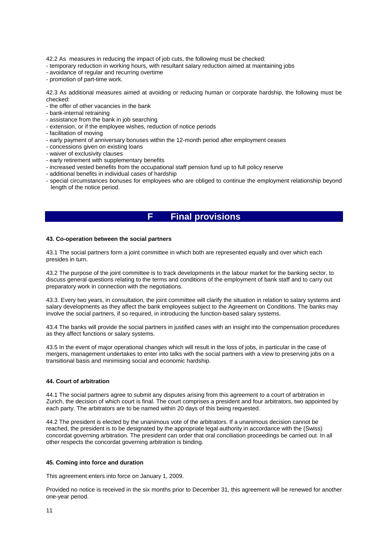42.2 As measures in reducing the impact of job cuts, the following must be checked:

- temporary reduction in working hours, with resultant salary reduction aimed at maintaining jobs
- avoidance of regular and recurring overtime
- promotion of part-time work.

42.3 As additional measures aimed at avoiding or reducing human or corporate hardship, the following must be checked:

- the offer of other vacancies in the bank
- bank-internal retraining
- assistance from the bank in job searching
- extension, or if the employee wishes, reduction of notice periods
- facilitation of moving
- early payment of anniversary bonuses within the 12-month period after employment ceases
- concessions given on existing loans
- waiver of exclusivity clauses
- early retirement with supplementary benefits
- increased vested benefits from the occupational staff pension fund up to full policy reserve
- additional benefits in individual cases of hardship
- special circumstances bonuses for employees who are obliged to continue the employment relationship beyond length of the notice period.

# **F Final provisions**

## **43. Co-operation between the social partners**

43.1 The social partners form a joint committee in which both are represented equally and over which each presides in turn.

43.2 The purpose of the joint committee is to track developments in the labour market for the banking sector, to discuss general questions relating to the terms and conditions of the employment of bank staff and to carry out preparatory work in connection with the negotiations.

43.3. Every two years, in consultation, the joint committee will clarify the situation in relation to salary systems and salary developments as they affect the bank employees subject to the Agreement on Conditions. The banks may involve the social partners, if so required, in introducing the function-based salary systems.

43.4 The banks will provide the social partners in justified cases with an insight into the compensation procedures as they affect functions or salary systems.

43.5 In the event of major operational changes which will result in the loss of jobs, in particular in the case of mergers, management undertakes to enter into talks with the social partners with a view to preserving jobs on a transitional basis and minimising social and economic hardship.

# **44. Court of arbitration**

44.1 The social partners agree to submit any disputes arising from this agreement to a court of arbitration in Zurich, the decision of which court is final. The court comprises a president and four arbitrators, two appointed by each party. The arbitrators are to be named within 20 days of this being requested.

44.2 The president is elected by the unanimous vote of the arbitrators. If a unanimous decision cannot be reached, the president is to be designated by the appropriate legal authority in accordance with the (Swiss) concordat governing arbitration. The president can order that oral conciliation proceedings be carried out. In all other respects the concordat governing arbitration is binding.

# **45. Coming into force and duration**

This agreement enters into force on January 1, 2009.

Provided no notice is received in the six months prior to December 31, this agreement will be renewed for another one-year period.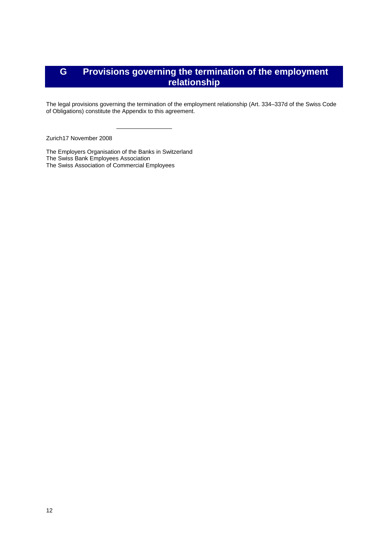# **G Provisions governing the termination of the employment relationship**

The legal provisions governing the termination of the employment relationship (Art. 334–337d of the Swiss Code of Obligations) constitute the Appendix to this agreement.

Zurich17 November 2008

The Employers Organisation of the Banks in Switzerland The Swiss Bank Employees Association The Swiss Association of Commercial Employees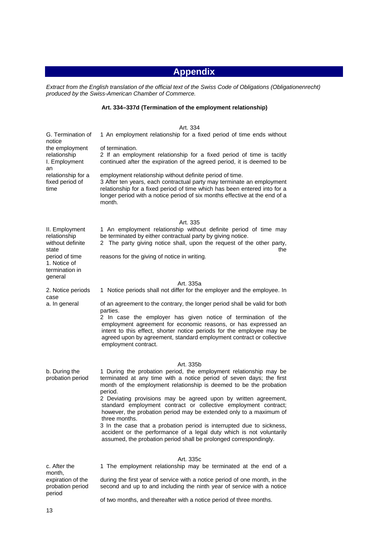# **Appendix**

*Extract from the English translation of the official text of the Swiss Code of Obligations (Obligationenrecht) produced by the Swiss-American Chamber of Commerce.* 

# **Art. 334–337d (Termination of the employment relationship)**

|                                                                 | Art. 334                                                                                                                                                                                                                                                                                                 |
|-----------------------------------------------------------------|----------------------------------------------------------------------------------------------------------------------------------------------------------------------------------------------------------------------------------------------------------------------------------------------------------|
| G. Termination of                                               | 1 An employment relationship for a fixed period of time ends without                                                                                                                                                                                                                                     |
| notice<br>the employment<br>relationship<br>I. Employment<br>an | of termination.<br>2 If an employment relationship for a fixed period of time is tacitly<br>continued after the expiration of the agreed period, it is deemed to be                                                                                                                                      |
| relationship for a<br>fixed period of<br>time                   | employment relationship without definite period of time.<br>3 After ten years, each contractual party may terminate an employment<br>relationship for a fixed period of time which has been entered into for a<br>longer period with a notice period of six months effective at the end of a<br>month.   |
|                                                                 | Art. 335                                                                                                                                                                                                                                                                                                 |
| II. Employment<br>relationship<br>without definite<br>state     | 1 An employment relationship without definite period of time may<br>be terminated by either contractual party by giving notice.<br>The party giving notice shall, upon the request of the other party,<br>2<br>the                                                                                       |
| period of time<br>1. Notice of<br>termination in<br>general     | reasons for the giving of notice in writing.                                                                                                                                                                                                                                                             |
|                                                                 | Art. 335a                                                                                                                                                                                                                                                                                                |
| 2. Notice periods                                               | 1 Notice periods shall not differ for the employer and the employee. In                                                                                                                                                                                                                                  |
| case<br>a. In general                                           | of an agreement to the contrary, the longer period shall be valid for both<br>parties.                                                                                                                                                                                                                   |
|                                                                 | 2 In case the employer has given notice of termination of the<br>employment agreement for economic reasons, or has expressed an<br>intent to this effect, shorter notice periods for the employee may be<br>agreed upon by agreement, standard employment contract or collective<br>employment contract. |
|                                                                 |                                                                                                                                                                                                                                                                                                          |
| b. During the<br>probation period                               | Art. 335b<br>1 During the probation period, the employment relationship may be<br>terminated at any time with a notice period of seven days; the first<br>month of the employment relationship is deemed to be the probation<br>period.                                                                  |
|                                                                 | 2 Deviating provisions may be agreed upon by written agreement,<br>standard employment contract or collective employment contract;<br>however, the probation period may be extended only to a maximum of<br>three months.                                                                                |
|                                                                 | 3 In the case that a probation period is interrupted due to sickness,<br>accident or the performance of a legal duty which is not voluntarily<br>assumed, the probation period shall be prolonged correspondingly.                                                                                       |
|                                                                 | Art. 335c                                                                                                                                                                                                                                                                                                |
| c. After the                                                    | 1 The employment relationship may be terminated at the end of a                                                                                                                                                                                                                                          |
| month,<br>expiration of the<br>probation period<br>period       | during the first year of service with a notice period of one month, in the<br>second and up to and including the ninth year of service with a notice                                                                                                                                                     |

of two months, and thereafter with a notice period of three months.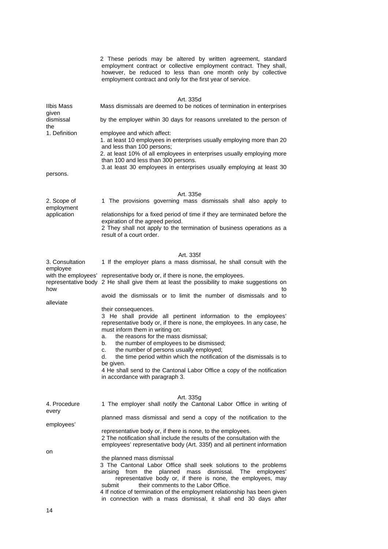|                                          | 2 These periods may be altered by written agreement, standard<br>employment contract or collective employment contract. They shall,<br>however, be reduced to less than one month only by collective<br>employment contract and only for the first year of service.                                                                                                                                                                                                                                                                                            |
|------------------------------------------|----------------------------------------------------------------------------------------------------------------------------------------------------------------------------------------------------------------------------------------------------------------------------------------------------------------------------------------------------------------------------------------------------------------------------------------------------------------------------------------------------------------------------------------------------------------|
| <b>Ilbis Mass</b>                        | Art. 335d<br>Mass dismissals are deemed to be notices of termination in enterprises                                                                                                                                                                                                                                                                                                                                                                                                                                                                            |
| given<br>dismissal<br>the                | by the employer within 30 days for reasons unrelated to the person of                                                                                                                                                                                                                                                                                                                                                                                                                                                                                          |
| 1. Definition                            | employee and which affect:<br>1. at least 10 employees in enterprises usually employing more than 20<br>and less than 100 persons;<br>2. at least 10% of all employees in enterprises usually employing more<br>than 100 and less than 300 persons.<br>3. at least 30 employees in enterprises usually employing at least 30                                                                                                                                                                                                                                   |
| persons.                                 |                                                                                                                                                                                                                                                                                                                                                                                                                                                                                                                                                                |
| 2. Scope of<br>employment<br>application | Art. 335e<br>1 The provisions governing mass dismissals shall also apply to<br>relationships for a fixed period of time if they are terminated before the<br>expiration of the agreed period.<br>2 They shall not apply to the termination of business operations as a<br>result of a court order.                                                                                                                                                                                                                                                             |
| 3. Consultation<br>employee              | Art. 335f<br>1 If the employer plans a mass dismissal, he shall consult with the<br>with the employees' representative body or, if there is none, the employees.<br>representative body 2 He shall give them at least the possibility to make suggestions on                                                                                                                                                                                                                                                                                                   |
| how                                      | to<br>avoid the dismissals or to limit the number of dismissals and to                                                                                                                                                                                                                                                                                                                                                                                                                                                                                         |
| alleviate                                | their consequences.<br>3 He shall provide all pertinent information to the employees'<br>representative body or, if there is none, the employees. In any case, he<br>must inform them in writing on:<br>the reasons for the mass dismissal:<br>a.<br>the number of employees to be dismissed;<br>b.<br>the number of persons usually employed;<br>C.<br>the time period within which the notification of the dismissals is to<br>d.<br>be given.<br>4 He shall send to the Cantonal Labor Office a copy of the notification<br>in accordance with paragraph 3. |
| 4. Procedure<br>every                    | Art. 335g<br>1 The employer shall notify the Cantonal Labor Office in writing of                                                                                                                                                                                                                                                                                                                                                                                                                                                                               |
| employees'                               | planned mass dismissal and send a copy of the notification to the<br>representative body or, if there is none, to the employees.<br>2 The notification shall include the results of the consultation with the                                                                                                                                                                                                                                                                                                                                                  |
| on                                       | employees' representative body (Art. 335f) and all pertinent information<br>the planned mass dismissal<br>3 The Cantonal Labor Office shall seek solutions to the problems<br>arising from the planned mass dismissal. The<br>employees'<br>representative body or, if there is none, the employees, may<br>their comments to the Labor Office.<br>submit<br>4 If notice of termination of the employment relationship has been given<br>in connection with a mass dismissal, it shall end 30 days after                                                       |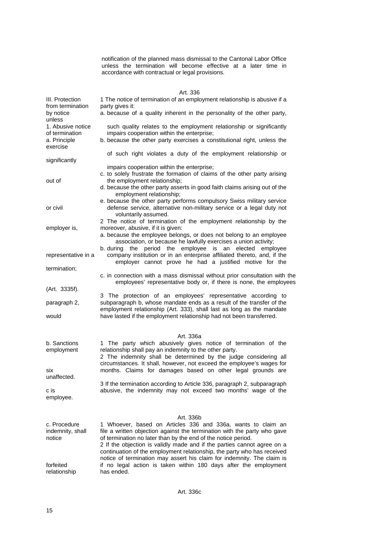notification of the planned mass dismissal to the Cantonal Labor Office unless the termination will become effective at a later time in accordance with contractual or legal provisions.

|                                                                 | Art. 336                                                                                                                                                                                                                                                                                                                                                                                                                                               |
|-----------------------------------------------------------------|--------------------------------------------------------------------------------------------------------------------------------------------------------------------------------------------------------------------------------------------------------------------------------------------------------------------------------------------------------------------------------------------------------------------------------------------------------|
| III. Protection<br>from termination                             | 1 The notice of termination of an employment relationship is abusive if a<br>party gives it:                                                                                                                                                                                                                                                                                                                                                           |
| by notice<br>unless                                             | a. because of a quality inherent in the personality of the other party,                                                                                                                                                                                                                                                                                                                                                                                |
| 1. Abusive notice<br>of termination<br>a. Principle<br>exercise | such quality relates to the employment relationship or significantly<br>impairs cooperation within the enterprise;<br>b. because the other party exercises a constitutional right, unless the                                                                                                                                                                                                                                                          |
| significantly                                                   | of such right violates a duty of the employment relationship or                                                                                                                                                                                                                                                                                                                                                                                        |
|                                                                 | impairs cooperation within the enterprise;                                                                                                                                                                                                                                                                                                                                                                                                             |
| out of                                                          | c. to solely frustrate the formation of claims of the other party arising<br>the employment relationship;<br>d. because the other party asserts in good faith claims arising out of the<br>employment relationship;                                                                                                                                                                                                                                    |
| or civil                                                        | e. because the other party performs compulsory Swiss military service<br>defense service, alternative non-military service or a legal duty not<br>voluntarily assumed.                                                                                                                                                                                                                                                                                 |
| employer is,                                                    | 2 The notice of termination of the employment relationship by the<br>moreover, abusive, if it is given:<br>a. because the employee belongs, or does not belong to an employee                                                                                                                                                                                                                                                                          |
| representative in a                                             | association, or because he lawfully exercises a union activity;<br>b during the period the employee is<br>an elected<br>employee<br>company institution or in an enterprise affiliated thereto, and, if the<br>employer cannot prove he had a justified motive for the                                                                                                                                                                                 |
| termination;                                                    | c. in connection with a mass dismissal without prior consultation with the                                                                                                                                                                                                                                                                                                                                                                             |
|                                                                 | employees' representative body or, if there is none, the employees                                                                                                                                                                                                                                                                                                                                                                                     |
| (Art. 3335f).                                                   | 3 The protection of an employees' representative according to                                                                                                                                                                                                                                                                                                                                                                                          |
| paragraph 2,<br>would                                           | subparagraph b, whose mandate ends as a result of the transfer of the<br>employment relationship (Art. 333), shall last as long as the mandate<br>have lasted if the employment relationship had not been transferred.                                                                                                                                                                                                                                 |
|                                                                 |                                                                                                                                                                                                                                                                                                                                                                                                                                                        |
| b. Sanctions<br>employment<br>six                               | Art. 336a<br>1 The party which abusively gives notice of termination of the<br>relationship shall pay an indemnity to the other party.<br>2 The indemnity shall be determined by the judge considering all<br>circumstances. It shall, however, not exceed the employee's wages for<br>months. Claims for damages based on other legal grounds are                                                                                                     |
| unaffected.<br>c is<br>employee.                                | 3 If the termination according to Article 336, paragraph 2, subparagraph<br>abusive, the indemnity may not exceed two months' wage of the                                                                                                                                                                                                                                                                                                              |
|                                                                 |                                                                                                                                                                                                                                                                                                                                                                                                                                                        |
| c. Procedure<br>indemnity, shall<br>notice                      | Art. 336b<br>1 Whoever, based on Articles 336 and 336a, wants to claim an<br>file a written objection against the termination with the party who gave<br>of termination no later than by the end of the notice period.<br>2 If the objection is validly made and if the parties cannot agree on a<br>continuation of the employment relationship, the party who has received<br>notice of termination may assert his claim for indemnity. The claim is |
| forfeited<br>relationship                                       | if no legal action is taken within 180 days after the employment<br>has ended.                                                                                                                                                                                                                                                                                                                                                                         |
|                                                                 |                                                                                                                                                                                                                                                                                                                                                                                                                                                        |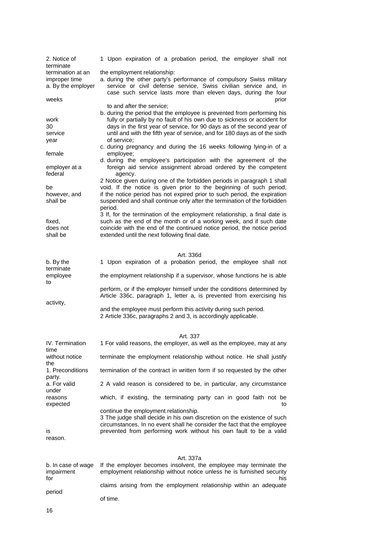| 2. Notice of                            | 1 Upon expiration of a probation period, the employer shall not                                                                                                                                                                                                   |
|-----------------------------------------|-------------------------------------------------------------------------------------------------------------------------------------------------------------------------------------------------------------------------------------------------------------------|
| terminate<br>termination at an          | the employment relationship:                                                                                                                                                                                                                                      |
| improper time<br>a. By the employer     | a. during the other party's performance of compulsory Swiss military<br>service or civil defense service, Swiss civilian service and, in<br>case such service lasts more than eleven days, during the four                                                        |
| weeks                                   | prior                                                                                                                                                                                                                                                             |
|                                         | to and after the service;<br>b. during the period that the employee is prevented from performing his                                                                                                                                                              |
| work                                    | fully or partially by no fault of his own due to sickness or accident for                                                                                                                                                                                         |
| 30                                      | days in the first year of service, for 90 days as of the second year of<br>until and with the fifth year of service, and for 180 days as of the sixth                                                                                                             |
| service<br>year                         | of service:                                                                                                                                                                                                                                                       |
|                                         | c. during pregnancy and during the 16 weeks following lying-in of a                                                                                                                                                                                               |
| female                                  | employee;<br>d. during the employee's participation with the agreement of the                                                                                                                                                                                     |
| employer at a<br>federal                | foreign aid service assignment abroad ordered by the competent<br>agency.                                                                                                                                                                                         |
| be                                      | 2 Notice given during one of the forbidden periods in paragraph 1 shall<br>void. If the notice is given prior to the beginning of such period,                                                                                                                    |
| however, and                            | if the notice period has not expired prior to such period, the expiration                                                                                                                                                                                         |
| shall be                                | suspended and shall continue only after the termination of the forbidden<br>period.                                                                                                                                                                               |
| fixed,                                  | 3 If, for the termination of the employment relationship, a final date is<br>such as the end of the month or of a working week, and if such date                                                                                                                  |
| does not                                | coincide with the end of the continued notice period, the notice period                                                                                                                                                                                           |
| shall be                                | extended until the next following final date.                                                                                                                                                                                                                     |
|                                         |                                                                                                                                                                                                                                                                   |
|                                         | Art. 336d                                                                                                                                                                                                                                                         |
| b. By the<br>terminate                  | 1 Upon expiration of a probation period, the employee shall not                                                                                                                                                                                                   |
| employee<br>to                          | the employment relationship if a supervisor, whose functions he is able                                                                                                                                                                                           |
| activity,                               | perform, or if the employer himself under the conditions determined by<br>Article 336c, paragraph 1, letter a, is prevented from exercising his                                                                                                                   |
|                                         | and the employee must perform this activity during such period.<br>2 Article 336c, paragraphs 2 and 3, is accordingly applicable.                                                                                                                                 |
|                                         |                                                                                                                                                                                                                                                                   |
| IV. Termination<br>time                 | Art. 337<br>1 For valid reasons, the employer, as well as the employee, may at any                                                                                                                                                                                |
| without notice<br>the                   | terminate the employment relationship without notice. He shall justify                                                                                                                                                                                            |
| 1. Preconditions<br>party.              | termination of the contract in written form if so requested by the other                                                                                                                                                                                          |
| a. For valid<br>under                   | 2 A valid reason is considered to be, in particular, any circumstance                                                                                                                                                                                             |
| reasons<br>expected                     | which, if existing, the terminating party can in good faith not be<br>to                                                                                                                                                                                          |
| ıs<br>reason.                           | continue the employment relationship.<br>3 The judge shall decide in his own discretion on the existence of such<br>circumstances. In no event shall he consider the fact that the employee<br>prevented from performing work without his own fault to be a valid |
|                                         |                                                                                                                                                                                                                                                                   |
|                                         | Art. 337a                                                                                                                                                                                                                                                         |
| b. In case of wage<br>impairment<br>for | If the employer becomes insolvent, the employee may terminate the<br>employment relationship without notice unless he is furnished security<br>his                                                                                                                |
| period                                  | claims arising from the employment relationship within an adequate                                                                                                                                                                                                |
|                                         | of time.                                                                                                                                                                                                                                                          |
|                                         |                                                                                                                                                                                                                                                                   |

16